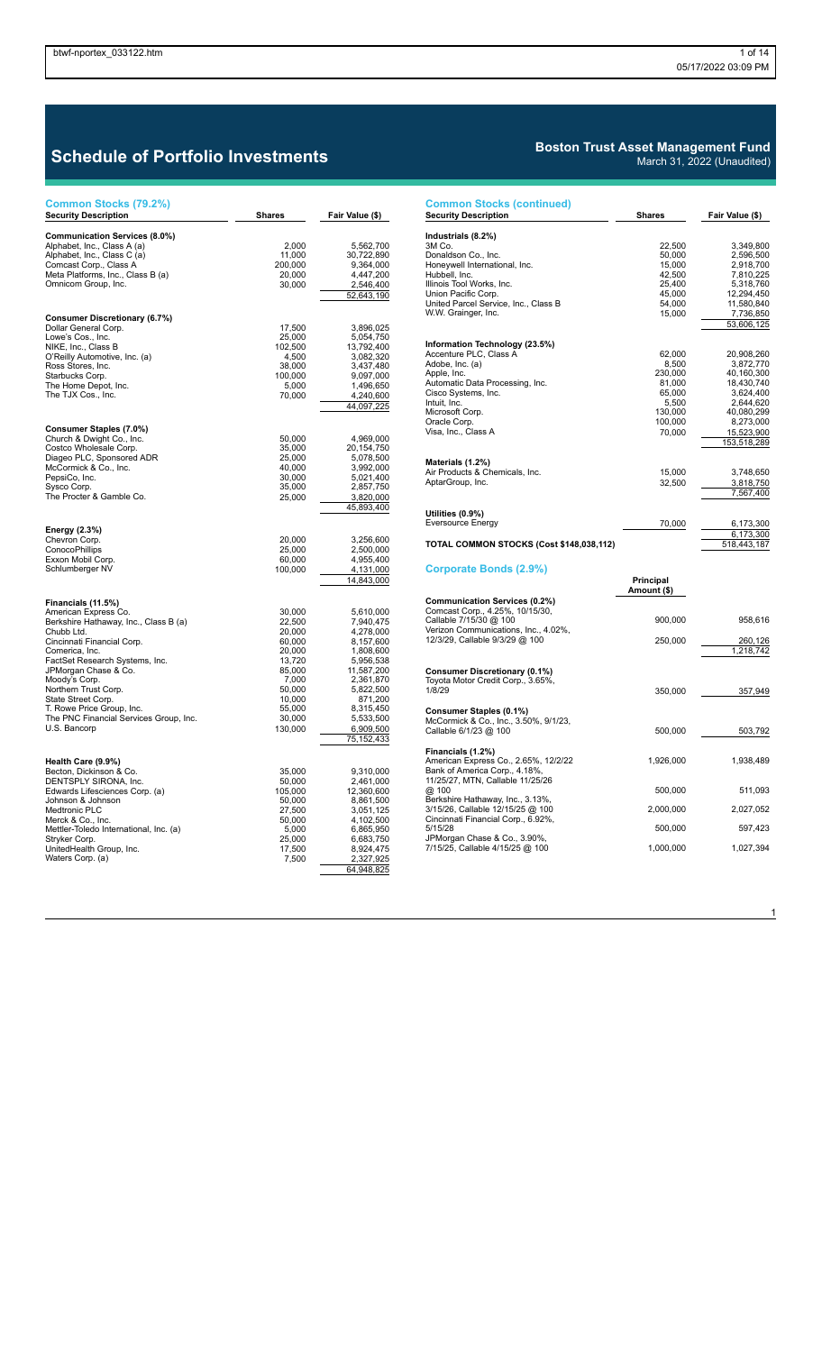## **Schedule of Portfolio Investments**

| Common Stocks (79.2%)                                         |                   |                         |
|---------------------------------------------------------------|-------------------|-------------------------|
| <b>Security Description</b>                                   | Shares            | Fair Value (\$)         |
| Communication Services (8.0%)                                 |                   |                         |
| Alphabet, Inc., Class A (a)                                   | 2,000             | 5,562,700               |
| Alphabet, Inc., Class C (a)                                   | 11,000            | 30,722,890              |
| Comcast Corp., Class A                                        | 200,000           | 9,364,000               |
| Meta Platforms, Inc., Class B (a)<br>Omnicom Group, Inc.      | 20,000            | 4,447,200               |
|                                                               | 30,000            | 2,546,400<br>52,643,190 |
|                                                               |                   |                         |
| Consumer Discretionary (6.7%)                                 |                   |                         |
| Dollar General Corp.                                          | 17,500            | 3,896,025               |
| Lowe's Cos., Inc.                                             | 25,000            | 5,054,750               |
| NIKE, Inc., Class B                                           | 102,500           | 13,792,400              |
| O'Reilly Automotive, Inc. (a)                                 | 4,500             | 3,082,320               |
| Ross Stores, Inc.                                             | 38,000            | 3,437,480               |
| Starbucks Corp.<br>The Home Depot, Inc.                       | 100,000<br>5,000  | 9,097,000<br>1,496,650  |
| The TJX Cos., Inc.                                            | 70,000            | 4,240,600               |
|                                                               |                   | 44,097,225              |
|                                                               |                   |                         |
| Consumer Staples (7.0%)                                       |                   |                         |
| Church & Dwight Co., Inc.                                     | 50,000            | 4,969,000               |
| Costco Wholesale Corp.                                        | 35,000            | 20,154,750              |
| Diageo PLC, Sponsored ADR                                     | 25,000            | 5,078,500               |
| McCormick & Co., Inc.                                         | 40,000            | 3,992,000               |
| PepsiCo, Inc.                                                 | 30,000            | 5,021,400               |
| Sysco Corp.<br>The Procter & Gamble Co.                       | 35,000<br>25,000  | 2,857,750<br>3,820,000  |
|                                                               |                   | 45,893,400              |
|                                                               |                   |                         |
| Energy (2.3%)                                                 |                   |                         |
| Chevron Corp.                                                 | 20,000            | 3,256,600               |
| ConocoPhillips                                                | 25,000            | 2,500,000               |
| Exxon Mobil Corp.                                             | 60,000            | 4,955,400               |
| Schlumberger NV                                               | 100,000           | 4,131,000               |
|                                                               |                   | 14,843,000              |
|                                                               |                   |                         |
| Financials (11.5%)                                            |                   |                         |
| American Express Co.<br>Berkshire Hathaway, Inc., Class B (a) | 30,000<br>22,500  | 5,610,000<br>7,940,475  |
| Chubb Ltd.                                                    | 20,000            | 4,278,000               |
| Cincinnati Financial Corp.                                    | 60,000            | 8,157,600               |
| Comerica, Inc.                                                | 20,000            | 1,808,600               |
| FactSet Research Systems, Inc.                                | 13,720            | 5,956,538               |
| JPMorgan Chase & Co.                                          | 85,000            | 11,587,200              |
| Moody's Corp.<br>Northern Trust Corp.                         | 7,000<br>50,000   | 2,361,870<br>5,822,500  |
| State Street Corp.                                            | 10,000            | 871,200                 |
| T. Rowe Price Group, Inc.                                     | 55,000            | 8,315,450               |
| The PNC Financial Services Group, Inc.                        | 30,000            | 5,533,500               |
| U.S. Bancorp                                                  | 130,000           | 6,909,500               |
|                                                               |                   | 75, 152, 433            |
|                                                               |                   |                         |
| Health Care (9.9%)                                            |                   |                         |
| Becton, Dickinson & Co.                                       | 35,000            | 9,310,000               |
| DENTSPLY SIRONA, Inc.<br>Edwards Lifesciences Corp. (a)       | 50,000<br>105,000 | 2,461,000<br>12,360,600 |
| Johnson & Johnson                                             | 50,000            | 8,861,500               |
| Medtronic PLC                                                 | 27,500            | 3,051,125               |
| Merck & Co., Inc.                                             | 50,000            | 4,102,500               |
| Mettler-Toledo International, Inc. (a)                        | 5,000             | 6,865,950               |
| Stryker Corp.                                                 | 25,000            | 6,683,750               |
| UnitedHealth Group, Inc.<br>Waters Corp. (a)                  | 17,500<br>7,500   | 8,924,475               |
|                                                               |                   | 2,327,925<br>64,948,825 |
|                                                               |                   |                         |

## **Boston Trust Asset Management Fund**

|                                                                | March 31, 2022 (Unaudited) |                         |
|----------------------------------------------------------------|----------------------------|-------------------------|
| <b>Common Stocks (continued)</b>                               |                            |                         |
| <b>Security Description</b>                                    | Shares                     | Fair Value (\$)         |
| Industrials (8.2%)                                             |                            |                         |
| 3M Co.                                                         | 22,500                     | 3,349,800               |
| Donaldson Co., Inc.                                            | 50,000                     | 2,596,500               |
| Honeywell International, Inc.                                  | 15,000                     | 2,918,700               |
| Hubbell, Inc.                                                  | 42,500                     | 7,810,225               |
| Illinois Tool Works, Inc.<br>Union Pacific Corp.               | 25,400<br>45,000           | 5,318,760<br>12,294,450 |
| United Parcel Service, Inc., Class B                           | 54,000                     | 11,580,840              |
| W.W. Grainger, Inc.                                            | 15,000                     | 7,736,850               |
|                                                                |                            | 53,606,125              |
|                                                                |                            |                         |
| Information Technology (23.5%)<br>Accenture PLC, Class A       | 62,000                     | 20,908,260              |
| Adobe, Inc. (a)                                                | 8,500                      | 3,872,770               |
| Apple, Inc.                                                    | 230,000                    | 40,160,300              |
| Automatic Data Processing, Inc.                                | 81,000                     | 18,430,740              |
| Cisco Systems, Inc.<br>Intuit, Inc.                            | 65,000<br>5,500            | 3,624,400<br>2,644,620  |
| Microsoft Corp.                                                | 130,000                    | 40,080,299              |
| Oracle Corp.                                                   | 100,000                    | 8,273,000               |
| Visa, Inc., Class A                                            | 70,000                     | 15,523,900              |
|                                                                |                            | 153,518,289             |
| Materials (1.2%)                                               |                            |                         |
| Air Products & Chemicals, Inc.                                 | 15,000                     | 3,748,650               |
| AptarGroup, Inc.                                               | 32,500                     | 3,818,750               |
|                                                                |                            | 7,567,400               |
| Utilities (0.9%)                                               |                            |                         |
| <b>Eversource Energy</b>                                       | 70,000                     | 6,173,300<br>6,173,300  |
| TOTAL COMMON STOCKS (Cost \$148,038,112)                       |                            | 518,443,187             |
| Corporate Bonds (2.9%)                                         |                            |                         |
|                                                                | Principal                  |                         |
|                                                                | Amount (\$)                |                         |
| Communication Services (0.2%)                                  |                            |                         |
| Comcast Corp., 4.25%, 10/15/30,                                |                            |                         |
| Callable 7/15/30 @ 100<br>Verizon Communications, Inc., 4.02%, | 900,000                    | 958,616                 |
| 12/3/29, Callable 9/3/29 @ 100                                 | 250,000                    | 260,126                 |
|                                                                |                            | 1,218,742               |
| <b>Consumer Discretionary (0.1%)</b>                           |                            |                         |
| Toyota Motor Credit Corp., 3.65%,                              |                            |                         |
| 1/8/29                                                         | 350,000                    | 357,949                 |
| Consumer Staples (0.1%)                                        |                            |                         |
| McCormick & Co., Inc., 3.50%, 9/1/23,                          |                            |                         |
| Callable 6/1/23 @ 100                                          | 500,000                    | 503,792                 |
| Financials (1.2%)                                              |                            |                         |
| American Express Co., 2.65%, 12/2/22                           | 1,926,000                  | 1,938,489               |
| Bank of America Corp., 4.18%,                                  |                            |                         |
| 11/25/27, MTN, Callable 11/25/26                               |                            |                         |
| @ 100<br>Berkshire Hathaway, Inc., 3.13%,                      | 500,000                    | 511,093                 |
| 3/15/26, Callable 12/15/25 @ 100                               | 2,000,000                  | 2,027,052               |
| Cincinnati Financial Corp., 6.92%,                             |                            |                         |
| 5/15/28<br>JPMorgan Chase & Co., 3.90%,                        | 500,000                    | 597,423                 |
| 7/15/25, Callable 4/15/25 @ 100                                | 1,000,000                  | 1,027,394               |

 $\overline{1}$